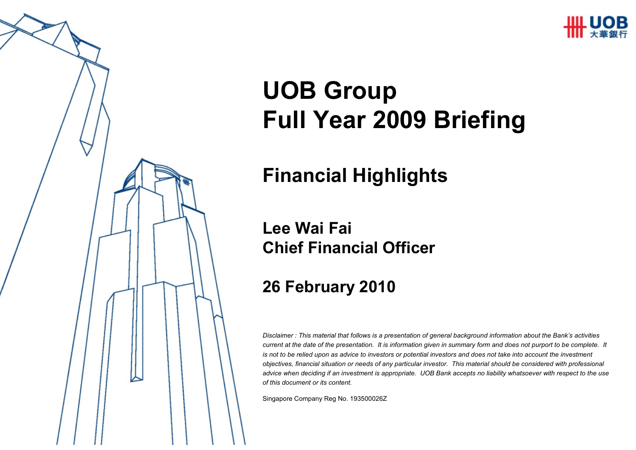

# **UOB GroupFull Year 2009 Briefing**

#### **Financial Highlights**

#### **Lee Wai FaiChief Financial Officer**

#### **26 February 2010**

*Disclaimer : This material that follows is a presentation of general background information about the Bank's activities current at the date of the presentation. It is information given in summary form and does not purport to be complete. It is not to be relied upon as advice to investors or potential investors and does not take into account the investment objectives, financial situation or needs of any particular investor. This material should be considered with professional advice when deciding if an investment is appropriate. UOB Bank accepts no liability whatsoever with respect to the use of this document or its content.*

Singapore Company Reg No. 193500026Z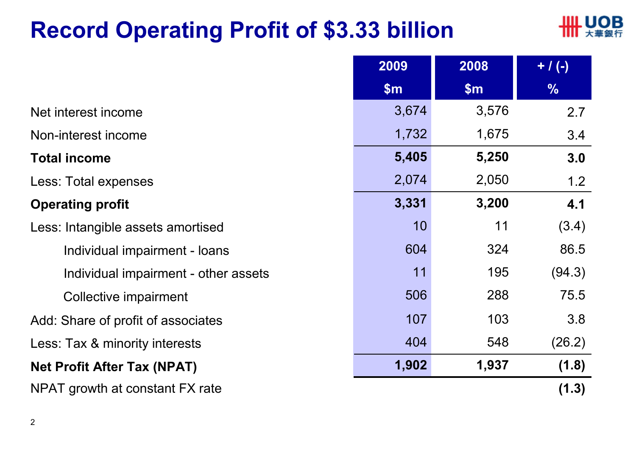### **Record Operating Profit of \$3.33 billion**



|                                      | 2009  | 2008  | $+ / (-)$ |
|--------------------------------------|-------|-------|-----------|
|                                      | \$m\$ | \$m\$ | $\%$      |
| Net interest income                  | 3,674 | 3,576 | 2.7       |
| Non-interest income                  | 1,732 | 1,675 | 3.4       |
| <b>Total income</b>                  | 5,405 | 5,250 | 3.0       |
| Less: Total expenses                 | 2,074 | 2,050 | 1.2       |
| <b>Operating profit</b>              | 3,331 | 3,200 | 4.1       |
| Less: Intangible assets amortised    | 10    | 11    | (3.4)     |
| Individual impairment - loans        | 604   | 324   | 86.5      |
| Individual impairment - other assets | 11    | 195   | (94.3)    |
| Collective impairment                | 506   | 288   | 75.5      |
| Add: Share of profit of associates   | 107   | 103   | 3.8       |
| Less: Tax & minority interests       | 404   | 548   | (26.2)    |
| <b>Net Profit After Tax (NPAT)</b>   | 1,902 | 1,937 | (1.8)     |
| NPAT growth at constant FX rate      |       |       | (1.3)     |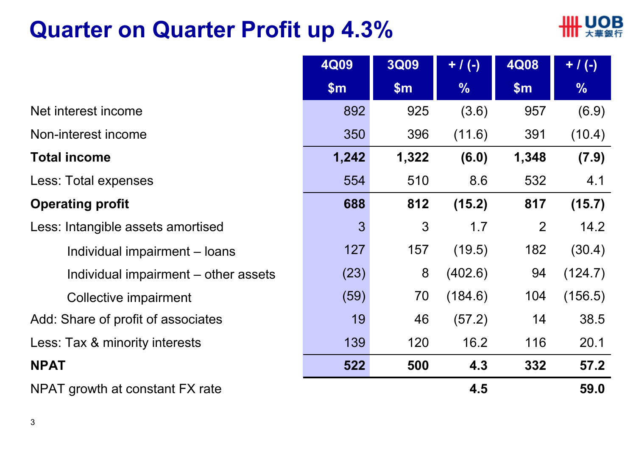### **Quarter on Quarter Profit up 4.3%**



|                                      | 4Q09         | <b>3Q09</b> | $+$ / (-)     | 4Q08  | $+ / (-)$     |
|--------------------------------------|--------------|-------------|---------------|-------|---------------|
|                                      | \$m\$        | \$m\$       | $\frac{9}{6}$ | \$m\$ | $\frac{0}{0}$ |
| Net interest income                  | 892          | 925         | (3.6)         | 957   | (6.9)         |
| Non-interest income                  | 350          | 396         | (11.6)        | 391   | (10.4)        |
| <b>Total income</b>                  | 1,242        | 1,322       | (6.0)         | 1,348 | (7.9)         |
| Less: Total expenses                 | 554          | 510         | 8.6           | 532   | 4.1           |
| <b>Operating profit</b>              | 688          | 812         | (15.2)        | 817   | (15.7)        |
| Less: Intangible assets amortised    | $\mathbf{3}$ | 3           | 1.7           | 2     | 14.2          |
| Individual impairment – loans        | 127          | 157         | (19.5)        | 182   | (30.4)        |
| Individual impairment – other assets | (23)         | 8           | (402.6)       | 94    | (124.7)       |
| Collective impairment                | (59)         | 70          | (184.6)       | 104   | (156.5)       |
| Add: Share of profit of associates   | 19           | 46          | (57.2)        | 14    | 38.5          |
| Less: Tax & minority interests       | 139          | 120         | 16.2          | 116   | 20.1          |
| <b>NPAT</b>                          | 522          | 500         | 4.3           | 332   | 57.2          |
| NPAT growth at constant FX rate      |              |             | 4.5           |       | 59.0          |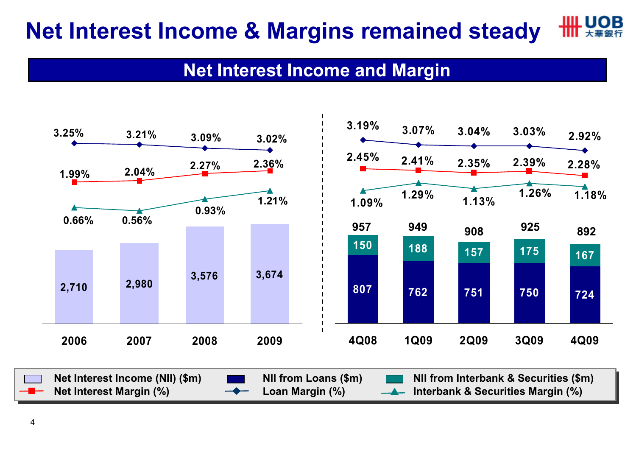#### LIOR **Net Interest Income & Margins remained steady**

#### **Net Interest Income and Margin**

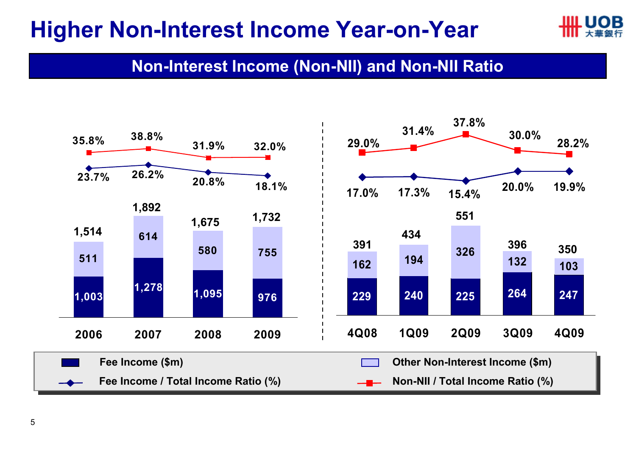#### **Higher Non-Interest Income Year-on-Year**



#### **Non-Interest Income (Non-NII) and Non-NII Ratio**

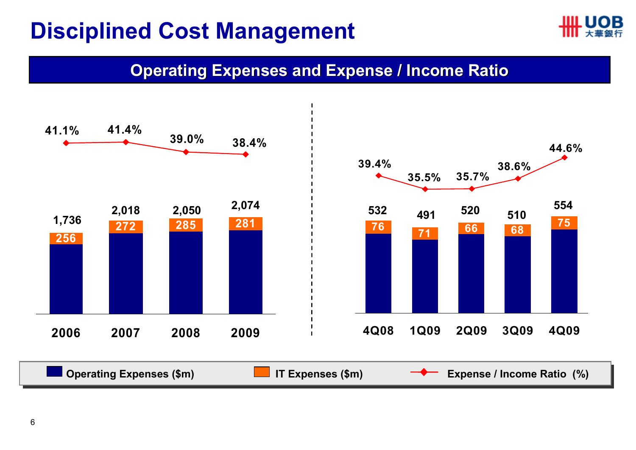### **Disciplined Cost Management**



#### **Operating Expenses and Expense / Income Ratio**

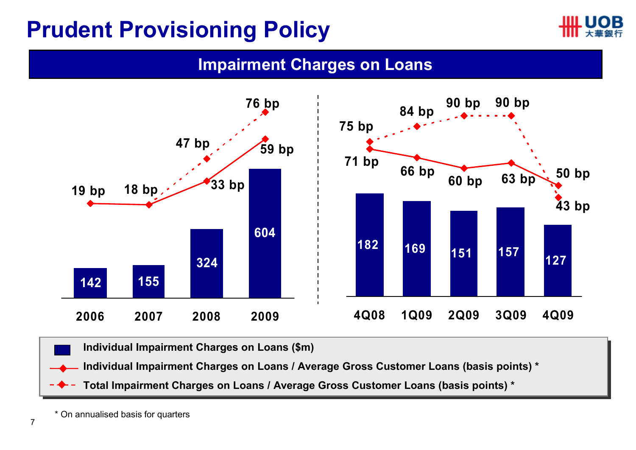#### **Prudent Provisioning Policy**



#### **Impairment Charges on Loans**



**Individual Impairment Charges on Loans (\$m) Individual Impairment Charges on Loans (\$m)** 

**Individual Impairment Charges on Loans / Average Gross Customer Loans (basis points) \***

**Total Impairment Charges on Loans / Average Gross Customer Loans (basis points) \***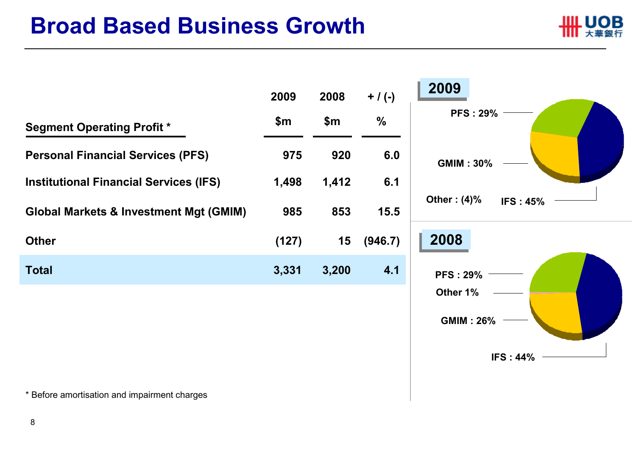#### **Broad Based Business Growth**





\* Before amortisation and impairment charges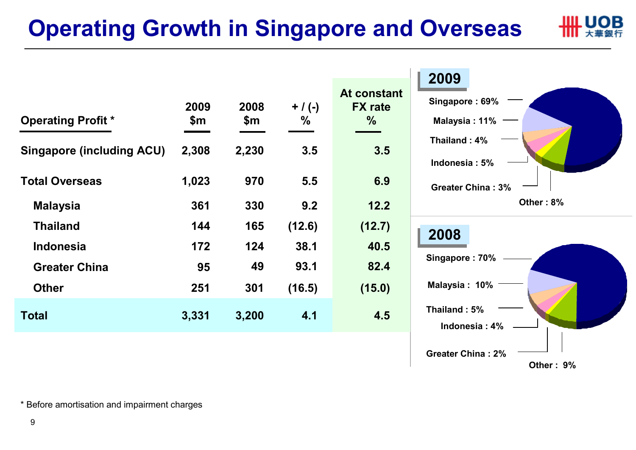## **Operating Growth in Singapore and Overseas**

|   | ШL UOB |
|---|--------|
| ш | 大華銀行   |

|                                  |       |       |           | At constant    | <b>ZUUY</b>              |
|----------------------------------|-------|-------|-----------|----------------|--------------------------|
|                                  | 2009  | 2008  | $+$ / (-) | <b>FX</b> rate | Singapore: 69%           |
| <b>Operating Profit *</b>        | \$m   | \$m   | $\%$      | $\frac{9}{6}$  | Malaysia: $11\%$ –       |
| <b>Singapore (including ACU)</b> | 2,308 | 2,230 | 3.5       | 3.5            | Thailand: 4%             |
|                                  |       |       |           |                | Indonesia: 5%            |
| <b>Total Overseas</b>            | 1,023 | 970   | 5.5       | 6.9            | <b>Greater China: 3%</b> |
| <b>Malaysia</b>                  | 361   | 330   | 9.2       | $12.2$         | Other: 8%                |
| <b>Thailand</b>                  | 144   | 165   | (12.6)    | (12.7)         | 2008                     |
| <b>Indonesia</b>                 | 172   | 124   | 38.1      | 40.5           |                          |
| <b>Greater China</b>             | 95    | 49    | 93.1      | 82.4           | Singapore: 70%           |
| <b>Other</b>                     | 251   | 301   | (16.5)    | (15.0)         | Malaysia: 10%            |
|                                  |       |       |           | 4.5            | Thailand: 5%             |
| <b>Total</b>                     | 3,331 | 3,200 | 4.1       |                | Indonesia: 4%            |
|                                  |       |       |           |                |                          |

**Other : 9%**

**Greater China : 2%**

\* Before amortisation and impairment charges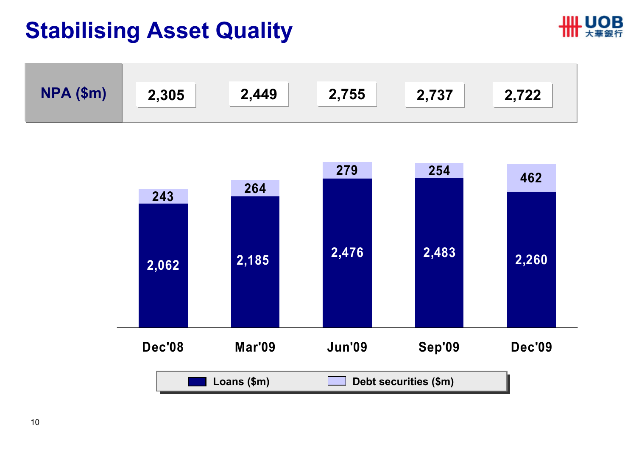#### **Stabilising Asset Quality**





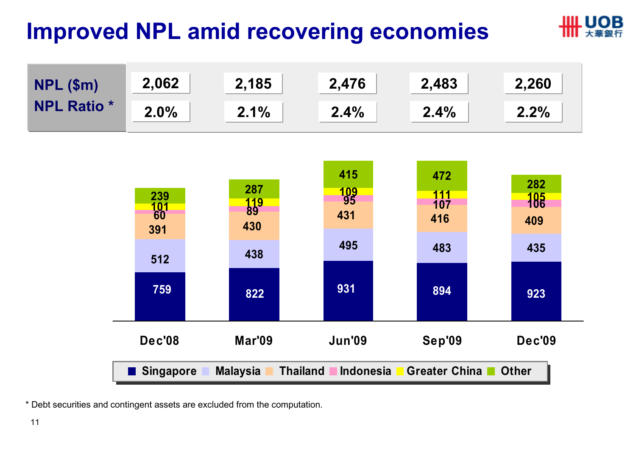## **Improved NPL amid recovering economies**



**LIOB** 

\* Debt securities and contingent assets are excluded from the computation.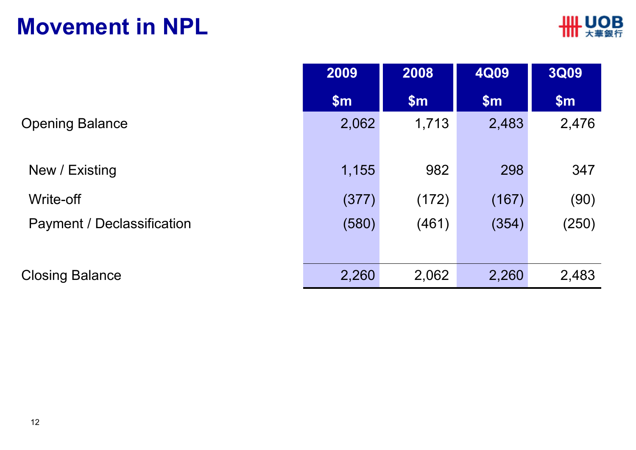#### **Movement in NPL**

|                            | 2009  | 2008  | <b>4Q09</b>               | <b>3Q09</b> |
|----------------------------|-------|-------|---------------------------|-------------|
|                            | \$m\$ | \$m\$ | $\mathsf{S}_{\mathsf{m}}$ | \$m\$       |
| <b>Opening Balance</b>     | 2,062 | 1,713 | 2,483                     | 2,476       |
| New / Existing             | 1,155 | 982   | 298                       | 347         |
| Write-off                  | (377) | (172) | (167)                     | (90)        |
| Payment / Declassification | (580) | (461) | (354)                     | (250)       |
| <b>Closing Balance</b>     | 2,260 | 2,062 | 2,260                     | 2,483       |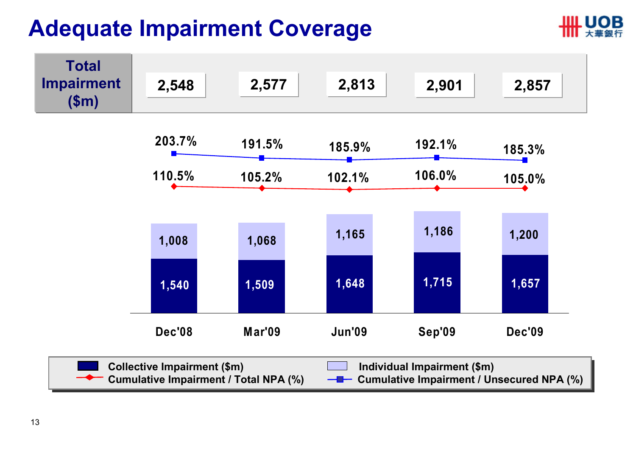### **Adequate Impairment Coverage**



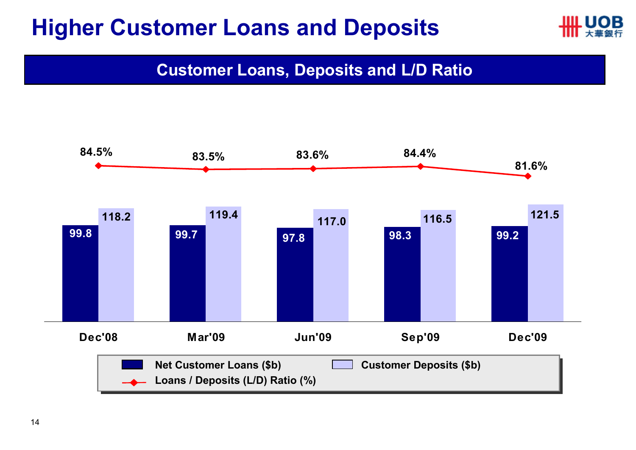#### **Higher Customer Loans and Deposits**



**Customer Loans, Deposits and L/D Ratio**

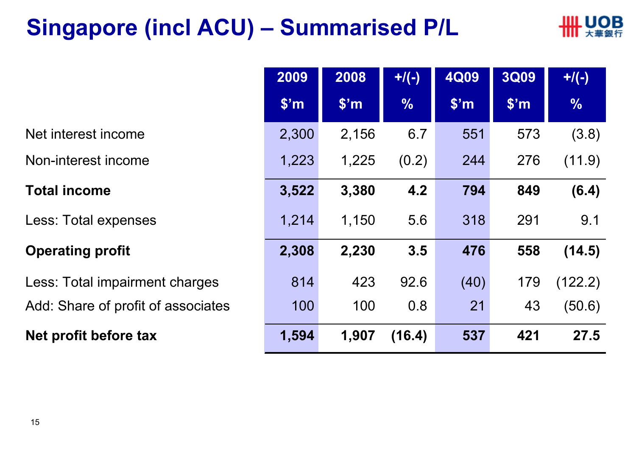### **Singapore (incl ACU) – Summarised P/L**



|                                    | 2009          | 2008              | $+$ /(-)      | <b>4Q09</b>       | <b>3Q09</b>       | $+$ /(-)      |
|------------------------------------|---------------|-------------------|---------------|-------------------|-------------------|---------------|
|                                    | $\sqrt{\$'}m$ | \$ <sup>'</sup> m | $\frac{0}{6}$ | \$ <sup>'</sup> m | \$ <sup>'</sup> m | $\frac{0}{0}$ |
| Net interest income                | 2,300         | 2,156             | 6.7           | 551               | 573               | (3.8)         |
| Non-interest income                | 1,223         | 1,225             | (0.2)         | 244               | 276               | (11.9)        |
| <b>Total income</b>                | 3,522         | 3,380             | 4.2           | 794               | 849               | (6.4)         |
| Less: Total expenses               | 1,214         | 1,150             | 5.6           | 318               | 291               | 9.1           |
| <b>Operating profit</b>            | 2,308         | 2,230             | 3.5           | 476               | 558               | (14.5)        |
| Less: Total impairment charges     | 814           | 423               | 92.6          | (40)              | 179               | (122.2)       |
| Add: Share of profit of associates | 100           | 100               | 0.8           | 21                | 43                | (50.6)        |
| Net profit before tax              | 1,594         | 1,907             | (16.4)        | 537               | 421               | 27.5          |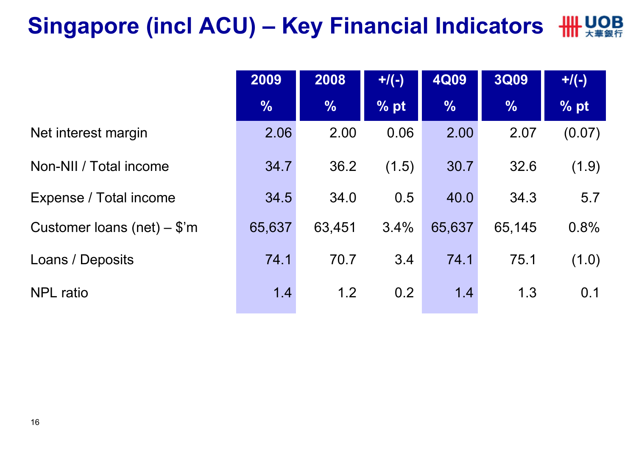## **Singapore (incl ACU) – Key Financial Indicators**

|                               | 2009          | 2008          | $+$ /(-) | <b>4Q09</b>   | <b>3Q09</b>   | $+$ /(-) |
|-------------------------------|---------------|---------------|----------|---------------|---------------|----------|
|                               | $\frac{1}{2}$ | $\frac{9}{6}$ | % pt     | $\frac{0}{0}$ | $\frac{1}{2}$ | % pt     |
| Net interest margin           | 2.06          | 2.00          | 0.06     | 2.00          | 2.07          | (0.07)   |
| Non-NII / Total income        | 34.7          | 36.2          | (1.5)    | 30.7          | 32.6          | (1.9)    |
| Expense / Total income        | 34.5          | 34.0          | 0.5      | 40.0          | 34.3          | 5.7      |
| Customer loans (net) $-$ \$'m | 65,637        | 63,451        | 3.4%     | 65,637        | 65,145        | 0.8%     |
| Loans / Deposits              | 74.1          | 70.7          | 3.4      | 74.1          | 75.1          | (1.0)    |
| <b>NPL</b> ratio              | 1.4           | 1.2           | 0.2      | 1.4           | 1.3           | 0.1      |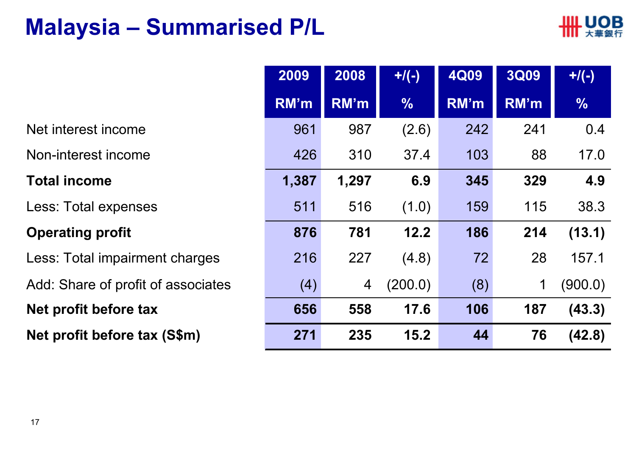#### **Malaysia – Summarised P/L**



|                                    | 2009  | 2008           | $+$ /(-)      | <b>4Q09</b> | <b>3Q09</b> | $+/(-)$       |
|------------------------------------|-------|----------------|---------------|-------------|-------------|---------------|
|                                    | RM'm  | RM'm           | $\frac{1}{2}$ | RM'm        | RM'm        | $\frac{9}{6}$ |
| Net interest income                | 961   | 987            | (2.6)         | 242         | 241         | 0.4           |
| Non-interest income                | 426   | 310            | 37.4          | 103         | 88          | 17.0          |
| <b>Total income</b>                | 1,387 | 1,297          | 6.9           | 345         | 329         | 4.9           |
| Less: Total expenses               | 511   | 516            | (1.0)         | 159         | 115         | 38.3          |
| <b>Operating profit</b>            | 876   | 781            | 12.2          | 186         | 214         | (13.1)        |
| Less: Total impairment charges     | 216   | 227            | (4.8)         | 72          | 28          | 157.1         |
| Add: Share of profit of associates | (4)   | $\overline{4}$ | (200.0)       | (8)         | 1           | (900.0)       |
| Net profit before tax              | 656   | 558            | 17.6          | 106         | 187         | (43.3)        |
| Net profit before tax (S\$m)       | 271   | 235            | 15.2          | 44          | 76          | (42.8)        |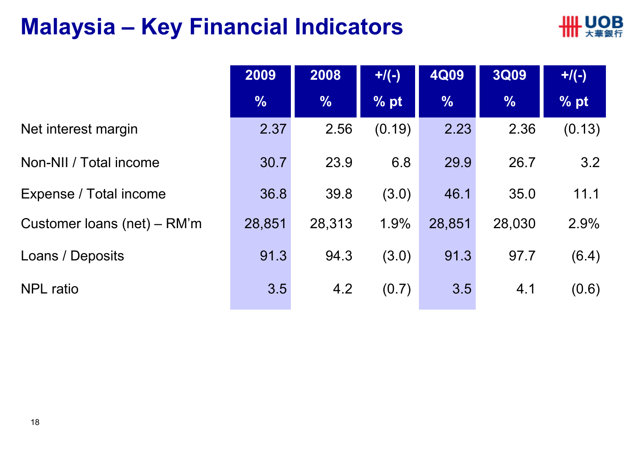### **Malaysia – Key Financial Indicators**



|                             | 2009          | 2008          | $+/(-)$ | <b>4Q09</b>   | <b>3Q09</b>   | $+$ /(-) |
|-----------------------------|---------------|---------------|---------|---------------|---------------|----------|
|                             | $\frac{0}{0}$ | $\frac{9}{6}$ | % pt    | $\frac{1}{2}$ | $\frac{9}{6}$ | % pt     |
| Net interest margin         | 2.37          | 2.56          | (0.19)  | 2.23          | 2.36          | (0.13)   |
| Non-NII / Total income      | 30.7          | 23.9          | 6.8     | 29.9          | 26.7          | 3.2      |
| Expense / Total income      | 36.8          | 39.8          | (3.0)   | 46.1          | 35.0          | 11.1     |
| Customer loans (net) – RM'm | 28,851        | 28,313        | 1.9%    | 28,851        | 28,030        | 2.9%     |
| Loans / Deposits            | 91.3          | 94.3          | (3.0)   | 91.3          | 97.7          | (6.4)    |
| <b>NPL</b> ratio            | 3.5           | 4.2           | (0.7)   | 3.5           | 4.1           | (0.6)    |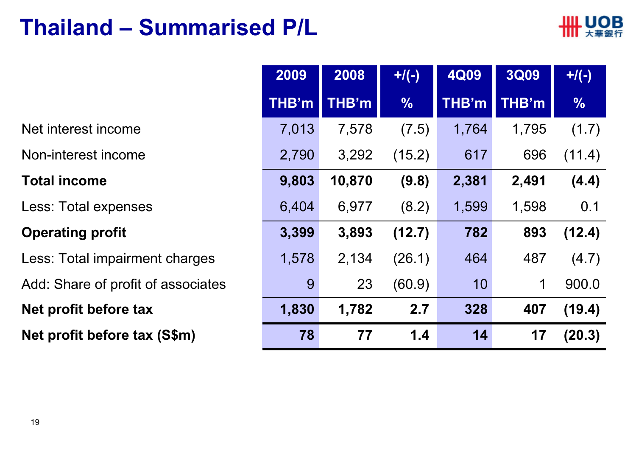#### **Thailand – Summarised P/L**



|                                    | 2009         | 2008   | $+$ /(-)      | <b>4Q09</b>  | <b>3Q09</b> | $+$ /(-)      |
|------------------------------------|--------------|--------|---------------|--------------|-------------|---------------|
|                                    | <b>THB'm</b> | THB'm  | $\frac{0}{0}$ | <b>THB'm</b> | THB'm       | $\frac{0}{0}$ |
| Net interest income                | 7,013        | 7,578  | (7.5)         | 1,764        | 1,795       | (1.7)         |
| Non-interest income                | 2,790        | 3,292  | (15.2)        | 617          | 696         | (11.4)        |
| <b>Total income</b>                | 9,803        | 10,870 | (9.8)         | 2,381        | 2,491       | (4.4)         |
| Less: Total expenses               | 6,404        | 6,977  | (8.2)         | 1,599        | 1,598       | 0.1           |
| <b>Operating profit</b>            | 3,399        | 3,893  | (12.7)        | 782          | 893         | (12.4)        |
| Less: Total impairment charges     | 1,578        | 2,134  | (26.1)        | 464          | 487         | (4.7)         |
| Add: Share of profit of associates | 9            | 23     | (60.9)        | 10           | $\mathbf 1$ | 900.0         |
| Net profit before tax              | 1,830        | 1,782  | 2.7           | 328          | 407         | (19.4)        |
| Net profit before tax (S\$m)       | 78           | 77     | 1.4           | 14           | 17          | (20.3)        |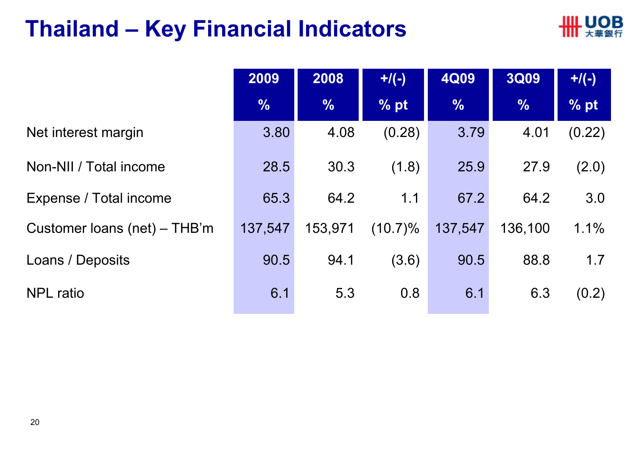#### **Thailand – Key Financial Indicators**



|                              | 2009          | 2008          | $+$ /(-)   | <b>4Q09</b>   | <b>3Q09</b>   | $+$ /(-)      |
|------------------------------|---------------|---------------|------------|---------------|---------------|---------------|
|                              | $\frac{0}{6}$ | $\frac{0}{0}$ | % pt       | $\frac{1}{2}$ | $\frac{0}{0}$ | $\sqrt{2}$ pt |
| Net interest margin          | 3.80          | 4.08          | (0.28)     | 3.79          | 4.01          | (0.22)        |
| Non-NII / Total income       | 28.5          | 30.3          | (1.8)      | 25.9          | 27.9          | (2.0)         |
| Expense / Total income       | 65.3          | 64.2          | 1.1        | 67.2          | 64.2          | 3.0           |
| Customer loans (net) – THB'm | 137,547       | 153,971       | $(10.7)\%$ | 137,547       | 136,100       | 1.1%          |
| Loans / Deposits             | 90.5          | 94.1          | (3.6)      | 90.5          | 88.8          | 1.7           |
| <b>NPL</b> ratio             | 6.1           | 5.3           | 0.8        | 6.1           | 6.3           | (0.2)         |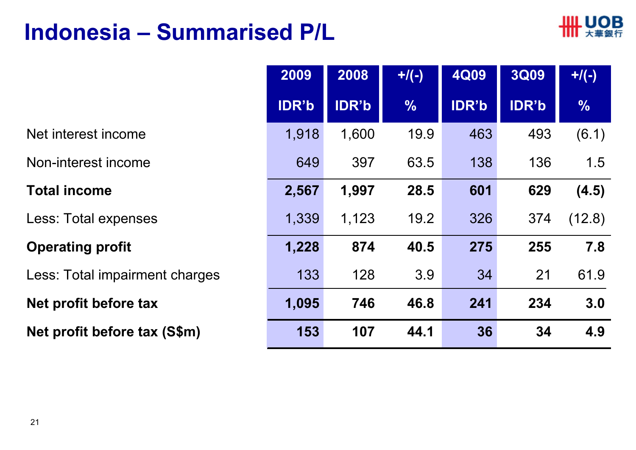#### **Indonesia – Summarised P/L**



61.9

**7.8**

(12.8)

**(4.5)**

1.5

(6.1)

|                                | 2009         | 2008         | $+$ /(-)      | 4Q09         | <b>3Q09</b>  | $+$ /(-)      |
|--------------------------------|--------------|--------------|---------------|--------------|--------------|---------------|
|                                | <b>IDR'b</b> | <b>IDR'b</b> | $\frac{0}{6}$ | <b>IDR'b</b> | <b>IDR'b</b> | $\frac{0}{0}$ |
| Net interest income            | 1,918        | 1,600        | 19.9          | 463          | 493          | (6.1)         |
| Non-interest income            | 649          | 397          | 63.5          | 138          | 136          | 1.5           |
| <b>Total income</b>            | 2,567        | 1,997        | 28.5          | 601          | 629          | (4.5)         |
| Less: Total expenses           | 1,339        | 1,123        | 19.2          | 326          | 374          | (12.8)        |
| <b>Operating profit</b>        | 1,228        | 874          | 40.5          | 275          | 255          | 7.8           |
| Less: Total impairment charges | 133          | 128          | 3.9           | 34           | 21           | 61.9          |
| Net profit before tax          | 1,095        | 746          | 46.8          | 241          | 234          | 3.0           |
| Net profit before tax (S\$m)   | 153          | 107          | 44.1          | 36           | 34           | 4.9           |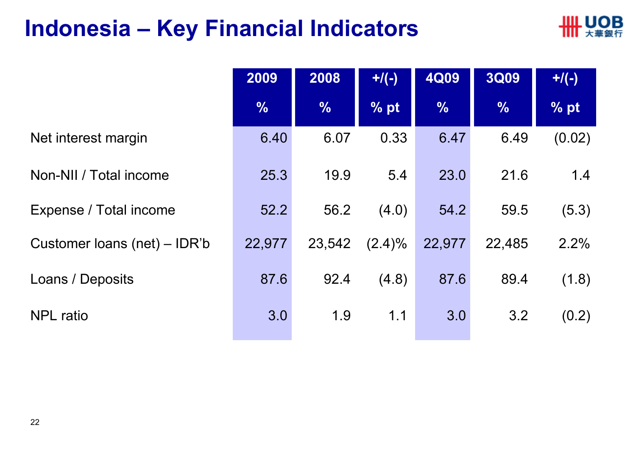#### **Indonesia – Key Financial Indicators**



|                              | 2009          | 2008          | $+$ /(-)  | <b>4Q09</b>   | <b>3Q09</b>   | $+$ /(-) |
|------------------------------|---------------|---------------|-----------|---------------|---------------|----------|
|                              | $\frac{0}{6}$ | $\frac{9}{6}$ | % pt      | $\frac{9}{6}$ | $\frac{0}{6}$ | % pt     |
| Net interest margin          | 6.40          | 6.07          | 0.33      | 6.47          | 6.49          | (0.02)   |
| Non-NII / Total income       | 25.3          | 19.9          | 5.4       | 23.0          | 21.6          | 1.4      |
| Expense / Total income       | 52.2          | 56.2          | (4.0)     | 54.2          | 59.5          | (5.3)    |
| Customer loans (net) – IDR'b | 22,977        | 23,542        | $(2.4)\%$ | 22,977        | 22,485        | 2.2%     |
| Loans / Deposits             | 87.6          | 92.4          | (4.8)     | 87.6          | 89.4          | (1.8)    |
| <b>NPL</b> ratio             | 3.0           | 1.9           | 1.1       | 3.0           | 3.2           | (0.2)    |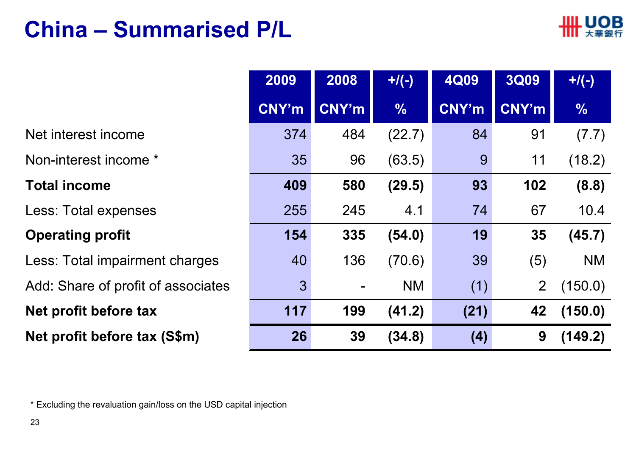#### **China – Summarised P/L**



|                                    | 2009         | 2008                     | $+$ /(-)      | <b>4Q09</b> | <b>3Q09</b>    | $+$ /(-)      |
|------------------------------------|--------------|--------------------------|---------------|-------------|----------------|---------------|
|                                    | <b>CNY'm</b> | CNY'm                    | $\frac{9}{6}$ | CNY'm       | CNY'm          | $\frac{0}{6}$ |
| Net interest income                | 374          | 484                      | (22.7)        | 84          | 91             | (7.7)         |
| Non-interest income *              | 35           | 96                       | (63.5)        | 9           | 11             | (18.2)        |
| <b>Total income</b>                | 409          | 580                      | (29.5)        | 93          | 102            | (8.8)         |
| Less: Total expenses               | 255          | 245                      | 4.1           | 74          | 67             | 10.4          |
| <b>Operating profit</b>            | 154          | 335                      | (54.0)        | 19          | 35             | (45.7)        |
| Less: Total impairment charges     | 40           | 136                      | (70.6)        | 39          | (5)            | <b>NM</b>     |
| Add: Share of profit of associates | $\mathbf{3}$ | $\overline{\phantom{a}}$ | <b>NM</b>     | (1)         | $\overline{2}$ | (150.0)       |
| Net profit before tax              | 117          | 199                      | (41.2)        | (21)        | 42             | (150.0)       |
| Net profit before tax (S\$m)       | 26           | 39                       | (34.8)        | (4)         | 9              | (149.2)       |

\* Excluding the revaluation gain/loss on the USD capital injection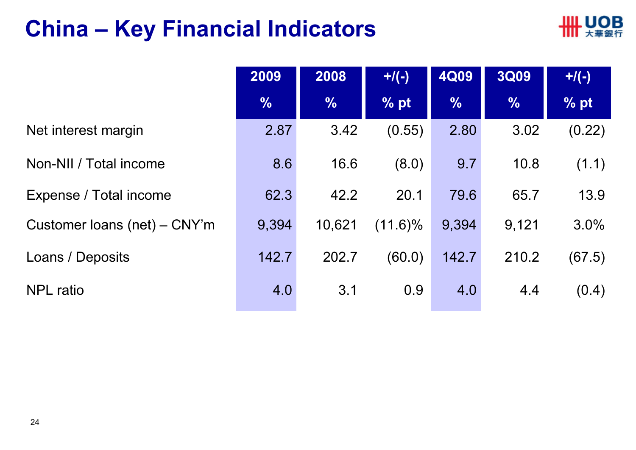#### **China – Key Financial Indicators**



|                                | 2009          | 2008          | $+$ /(-)   | <b>4Q09</b>   | 3Q09          | $+$ /(-) |
|--------------------------------|---------------|---------------|------------|---------------|---------------|----------|
|                                | $\frac{0}{6}$ | $\frac{0}{0}$ | % pt       | $\frac{9}{6}$ | $\frac{0}{0}$ | % pt     |
| Net interest margin            | 2.87          | 3.42          | (0.55)     | 2.80          | 3.02          | (0.22)   |
| Non-NII / Total income         | 8.6           | 16.6          | (8.0)      | 9.7           | 10.8          | (1.1)    |
| Expense / Total income         | 62.3          | 42.2          | 20.1       | 79.6          | 65.7          | 13.9     |
| Customer loans (net) $-$ CNY'm | 9,394         | 10,621        | $(11.6)\%$ | 9,394         | 9,121         | 3.0%     |
| Loans / Deposits               | 142.7         | 202.7         | (60.0)     | 142.7         | 210.2         | (67.5)   |
| <b>NPL</b> ratio               | 4.0           | 3.1           | 0.9        | 4.0           | 4.4           | (0.4)    |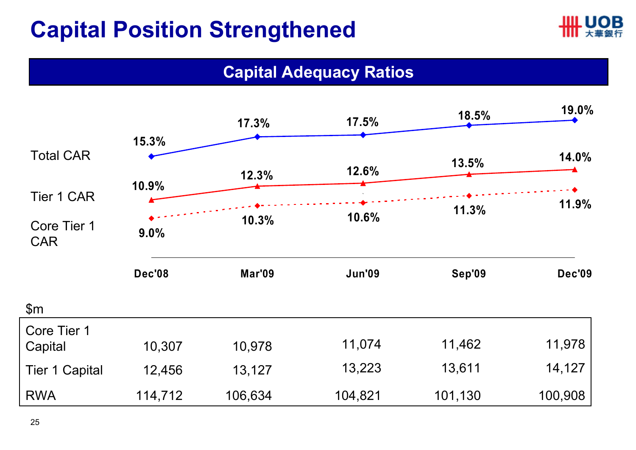### **Capital Position Strengthened**



#### **Capital Adequacy Ratios**

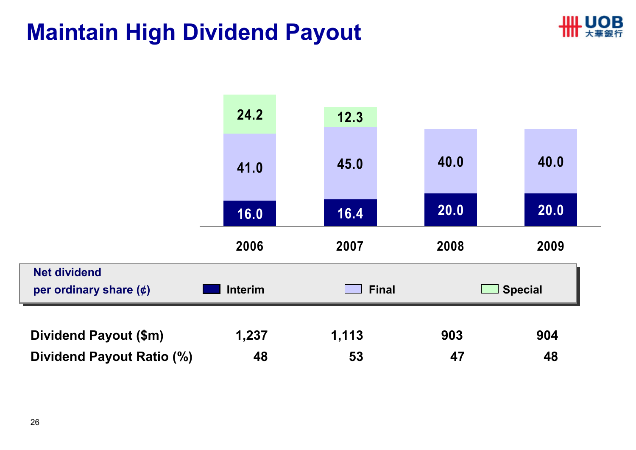#### **Maintain High Dividend Payout**